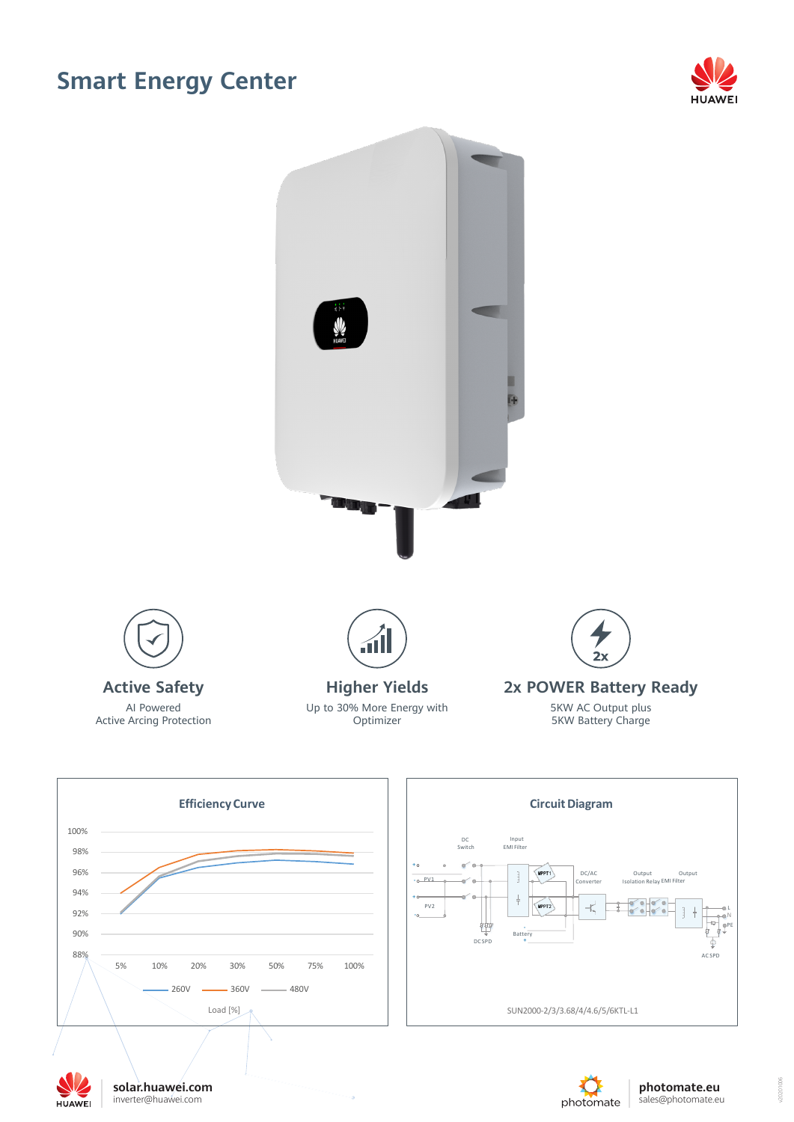## **Smart Energy Center**







 $\bar{\mathcal{S}}$ 







20201006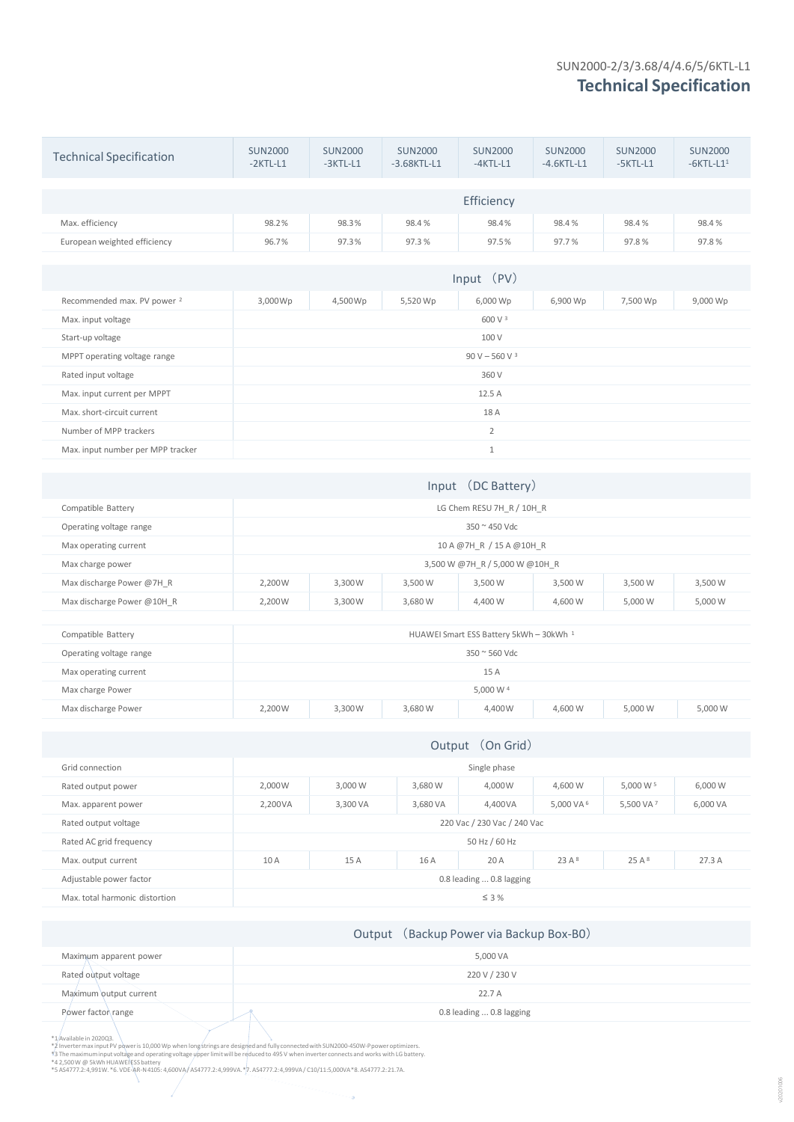## SUN2000-2/3/3.68/4/4.6/5/6KTL-L1 **Technical Specification**

| <b>Technical Specification</b>                | <b>SUN2000</b><br>$-2$ KTL-L1                      | <b>SUN2000</b><br>$-3$ KTL-L1 | <b>SUN2000</b><br>$-3.68$ KTL-L1 | <b>SUN2000</b><br>$-4$ KTL $-$ L1 | <b>SUN2000</b><br>$-4.6$ KTL $-$ L1 | <b>SUN2000</b><br>$-5$ KTL $-$ L1 | <b>SUN2000</b><br>$-6$ KTL-L1 <sup>1</sup> |  |  |  |  |
|-----------------------------------------------|----------------------------------------------------|-------------------------------|----------------------------------|-----------------------------------|-------------------------------------|-----------------------------------|--------------------------------------------|--|--|--|--|
|                                               |                                                    |                               |                                  |                                   |                                     |                                   |                                            |  |  |  |  |
|                                               | Efficiency                                         |                               |                                  |                                   |                                     |                                   |                                            |  |  |  |  |
| Max. efficiency                               | 98.2%                                              | 98.3%                         | 98.4%                            | 98.4%                             | 98.4%                               | 98.4%                             | 98.4%                                      |  |  |  |  |
| European weighted efficiency                  | 96.7%                                              | 97.3%                         | 97.3%                            | 97.5%                             | 97.7%                               | 97.8%                             | 97.8%                                      |  |  |  |  |
| Input (PV)                                    |                                                    |                               |                                  |                                   |                                     |                                   |                                            |  |  |  |  |
| Recommended max. PV power <sup>2</sup>        | 3,000Wp                                            | 4,500Wp                       | 5,520 Wp                         | 6,000 Wp                          | 6,900 Wp                            | 7,500 Wp                          | 9,000 Wp                                   |  |  |  |  |
| Max. input voltage                            | 600 V 3                                            |                               |                                  |                                   |                                     |                                   |                                            |  |  |  |  |
| Start-up voltage                              | 100 V                                              |                               |                                  |                                   |                                     |                                   |                                            |  |  |  |  |
| MPPT operating voltage range                  | 90 V - 560 V $3$                                   |                               |                                  |                                   |                                     |                                   |                                            |  |  |  |  |
| Rated input voltage                           | 360 V                                              |                               |                                  |                                   |                                     |                                   |                                            |  |  |  |  |
| Max. input current per MPPT                   | 12.5 A                                             |                               |                                  |                                   |                                     |                                   |                                            |  |  |  |  |
| Max. short-circuit current                    | 18 A                                               |                               |                                  |                                   |                                     |                                   |                                            |  |  |  |  |
| Number of MPP trackers                        | $\overline{2}$                                     |                               |                                  |                                   |                                     |                                   |                                            |  |  |  |  |
| Max. input number per MPP tracker             | $\mathbf{1}$                                       |                               |                                  |                                   |                                     |                                   |                                            |  |  |  |  |
|                                               |                                                    |                               |                                  |                                   |                                     |                                   |                                            |  |  |  |  |
|                                               |                                                    |                               |                                  | Input (DC Battery)                |                                     |                                   |                                            |  |  |  |  |
| Compatible Battery                            | LG Chem RESU 7H_R / 10H_R                          |                               |                                  |                                   |                                     |                                   |                                            |  |  |  |  |
| Operating voltage range                       | 350 ~ 450 Vdc                                      |                               |                                  |                                   |                                     |                                   |                                            |  |  |  |  |
| Max operating current                         | 10 A @7H_R / 15 A @10H_R                           |                               |                                  |                                   |                                     |                                   |                                            |  |  |  |  |
| Max charge power                              |                                                    |                               |                                  | 3,500 W @7H_R / 5,000 W @10H_R    |                                     |                                   |                                            |  |  |  |  |
| Max discharge Power @7H_R                     | 2,200W                                             | 3,300W                        | 3,500 W                          | 3,500 W                           | 3,500 W                             | 3,500 W                           | 3,500 W                                    |  |  |  |  |
| Max discharge Power @10H_R                    | 2,200W                                             | 3,300W                        | 3,680 W                          | 4,400 W                           | 4,600 W                             | 5,000 W                           | 5,000 W                                    |  |  |  |  |
|                                               |                                                    |                               |                                  |                                   |                                     |                                   |                                            |  |  |  |  |
| Compatible Battery<br>Operating voltage range | HUAWEI Smart ESS Battery 5kWh - 30kWh <sup>1</sup> |                               |                                  |                                   |                                     |                                   |                                            |  |  |  |  |
| Max operating current                         | 350 ~ 560 Vdc                                      |                               |                                  |                                   |                                     |                                   |                                            |  |  |  |  |
| Max charge Power                              | 15 A<br>5,000 W 4                                  |                               |                                  |                                   |                                     |                                   |                                            |  |  |  |  |
| Max discharge Power                           | 2,200W                                             | 3,300W                        | 3,680 W                          | 4,400W                            | 4.600 W                             | 5,000 W                           | 5,000 W                                    |  |  |  |  |
|                                               |                                                    |                               |                                  |                                   |                                     |                                   |                                            |  |  |  |  |
|                                               |                                                    |                               |                                  | Output (On Grid)                  |                                     |                                   |                                            |  |  |  |  |
| Grid connection                               |                                                    |                               |                                  | Single phase                      |                                     |                                   |                                            |  |  |  |  |
| Rated output power                            | 2,000W                                             | 3,000 W                       | 3,680W                           | 4,000W                            | 4,600 W                             | 5,000 W 5                         | 6,000 W                                    |  |  |  |  |
| Max. apparent power                           | 2,200VA                                            | 3,300 VA                      | 3,680 VA                         | 4,400VA                           | 5,000 VA 6                          | 5,500 VA7                         | 6,000 VA                                   |  |  |  |  |
| Rated output voltage                          | 220 Vac / 230 Vac / 240 Vac                        |                               |                                  |                                   |                                     |                                   |                                            |  |  |  |  |
| Rated AC grid frequency                       | 50 Hz / 60 Hz                                      |                               |                                  |                                   |                                     |                                   |                                            |  |  |  |  |
| Max. output current                           | 10 A                                               | 15 A                          | 16 A                             | 20 A                              | 23 A 8                              | 25 A 8                            | 27.3 A                                     |  |  |  |  |
| Adjustable power factor                       | 0.8 leading  0.8 lagging                           |                               |                                  |                                   |                                     |                                   |                                            |  |  |  |  |

- Max. total harmonic distortion  $\leq$  3 %
	-

## Output (Backup Power via Backup Box-B0)

| Maximum apparent power | 5,000 VA                 |
|------------------------|--------------------------|
| Rated output voltage   | 220 V / 230 V            |
| Maximum output current | 22.7 A                   |
| Power factor range     | 0.8 leading  0.8 lagging |
|                        |                          |

\*1/Available in 202003.<br>\* A inverter max input PV power is 10,000 Wp when long strings are designed and fully connected with SUN2000-450W-P power optimizers.<br>\*3 The maximum input voltage and operating voltage upper limit w